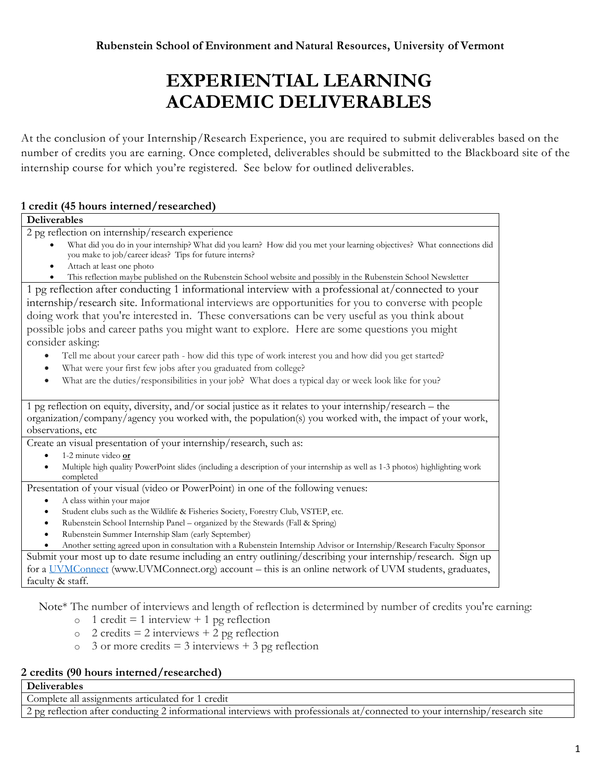# **EXPERIENTIAL LEARNING ACADEMIC DELIVERABLES**

At the conclusion of your Internship/Research Experience, you are required to submit deliverables based on the number of credits you are earning. Once completed, deliverables should be submitted to the Blackboard site of the internship course for which you're registered. See below for outlined deliverables.

### **1 credit (45 hours interned/researched)**

| Deliverables                                                                                                                 |
|------------------------------------------------------------------------------------------------------------------------------|
| 2 pg reflection on internship/research experience                                                                            |
| What did you do in your internship? What did you learn? How did you met your learning objectives? What connections did       |
| you make to job/career ideas? Tips for future interns?                                                                       |
| Attach at least one photo                                                                                                    |
| This reflection maybe published on the Rubenstein School website and possibly in the Rubenstein School Newsletter            |
| 1 pg reflection after conducting 1 informational interview with a professional at/connected to your                          |
| internship/research site. Informational interviews are opportunities for you to converse with people                         |
| doing work that you're interested in. These conversations can be very useful as you think about                              |
| possible jobs and career paths you might want to explore. Here are some questions you might                                  |
| consider asking:                                                                                                             |
| Tell me about your career path - how did this type of work interest you and how did you get started?                         |
| What were your first few jobs after you graduated from college?<br>$\bullet$                                                 |
| What are the duties/responsibilities in your job? What does a typical day or week look like for you?<br>$\bullet$            |
|                                                                                                                              |
| 1 pg reflection on equity, diversity, and/or social justice as it relates to your internship/research - the                  |
| organization/company/agency you worked with, the population(s) you worked with, the impact of your work,                     |
| observations, etc                                                                                                            |
| Create an visual presentation of your internship/research, such as:                                                          |
| 1-2 minute video or                                                                                                          |
| Multiple high quality PowerPoint slides (including a description of your internship as well as 1-3 photos) highlighting work |
| completed                                                                                                                    |
| Presentation of your visual (video or PowerPoint) in one of the following venues:                                            |
| A class within your major<br>٠                                                                                               |
| Student clubs such as the Wildlife & Fisheries Society, Forestry Club, VSTEP, etc.<br>$\bullet$                              |
| Rubenstein School Internship Panel - organized by the Stewards (Fall & Spring)<br>$\bullet$                                  |
| Rubenstein Summer Internship Slam (early September)                                                                          |
| Another setting agreed upon in consultation with a Rubenstein Internship Advisor or Internship/Research Faculty Sponsor      |
| Submit your most up to date resume including an entry outlining/describing your internship/research. Sign up                 |
| for a UVMConnect (www.UVMConnect.org) account - this is an online network of UVM students, graduates,                        |
| faculty & staff.                                                                                                             |

Note\* The number of interviews and length of reflection is determined by number of credits you're earning:

- $\circ$  1 credit = 1 interview + 1 pg reflection
- $\circ$  2 credits = 2 interviews + 2 pg reflection
- $\circ$  3 or more credits = 3 interviews + 3 pg reflection

#### **2 credits (90 hours interned/researched)**

**Deliverables**

Complete all assignments articulated for 1 credit

2 pg reflection after conducting 2 informational interviews with professionals at/connected to your internship/research site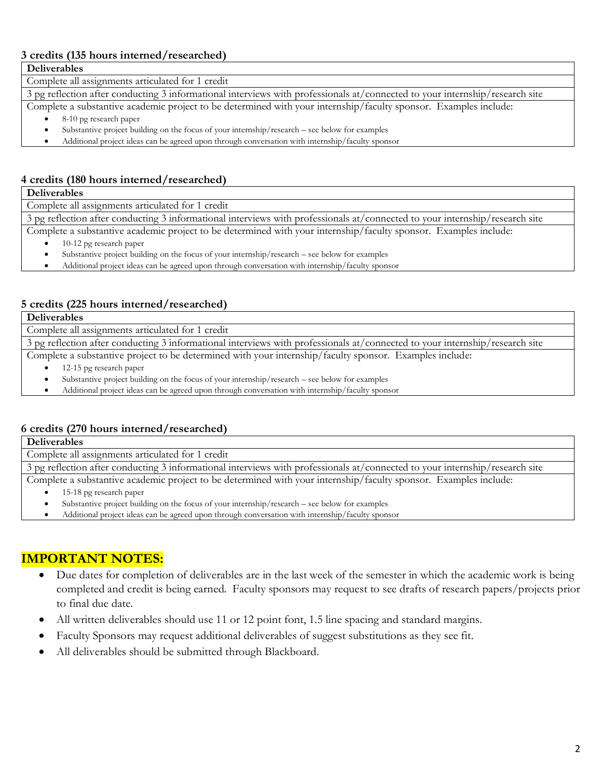#### **3 credits (135 hours interned/researched)**

**Deliverables**

Complete all assignments articulated for 1 credit

3 pg reflection after conducting 3 informational interviews with professionals at/connected to your internship/research site

Complete a substantive academic project to be determined with your internship/faculty sponsor. Examples include:

- 8-10 pg research paper
- Substantive project building on the focus of your internship/research see below for examples

• Additional project ideas can be agreed upon through conversation with internship/faculty sponsor

#### **4 credits (180 hours interned/researched)**

**Deliverables**

Complete all assignments articulated for 1 credit

3 pg reflection after conducting 3 informational interviews with professionals at/connected to your internship/research site

Complete a substantive academic project to be determined with your internship/faculty sponsor. Examples include:

- 10-12 pg research paper
- Substantive project building on the focus of your internship/research see below for examples
- Additional project ideas can be agreed upon through conversation with internship/faculty sponsor

#### **5 credits (225 hours interned/researched)**

**Deliverables**

Complete all assignments articulated for 1 credit

3 pg reflection after conducting 3 informational interviews with professionals at/connected to your internship/research site

Complete a substantive project to be determined with your internship/faculty sponsor. Examples include:

- 12-15 pg research paper
- Substantive project building on the focus of your internship/research see below for examples
- Additional project ideas can be agreed upon through conversation with internship/faculty sponsor

#### **6 credits (270 hours interned/researched)**

**Deliverables** Complete all assignments articulated for 1 credit

3 pg reflection after conducting 3 informational interviews with professionals at/connected to your internship/research site Complete a substantive academic project to be determined with your internship/faculty sponsor. Examples include:

- 15-18 pg research paper
	- Substantive project building on the focus of your internship/research see below for examples
	- Additional project ideas can be agreed upon through conversation with internship/faculty sponsor

## **IMPORTANT NOTES:**

- Due dates for completion of deliverables are in the last week of the semester in which the academic work is being completed and credit is being earned. Faculty sponsors may request to see drafts of research papers/projects prior to final due date.
- All written deliverables should use 11 or 12 point font, 1.5 line spacing and standard margins.
- Faculty Sponsors may request additional deliverables of suggest substitutions as they see fit.
- All deliverables should be submitted through Blackboard.